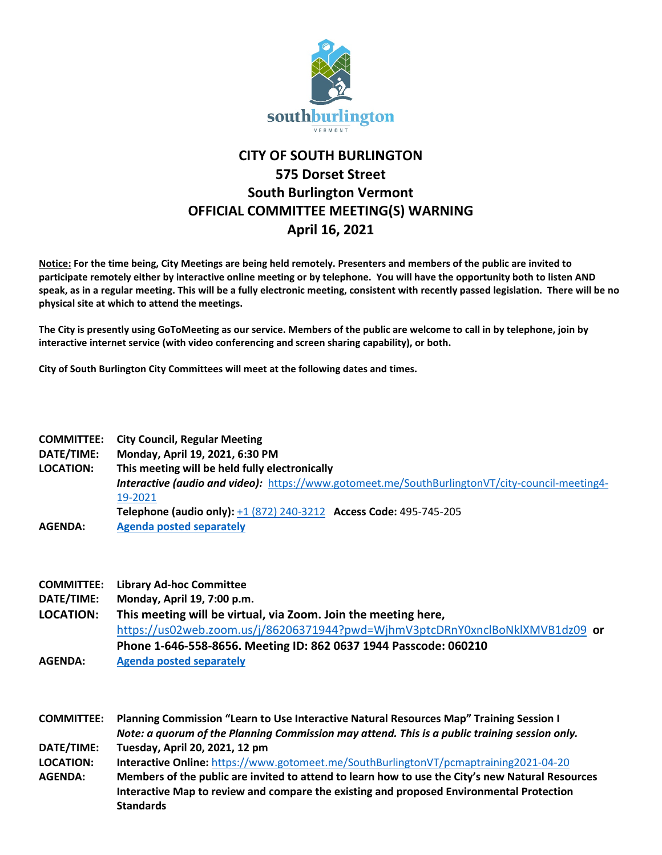

## **CITY OF SOUTH BURLINGTON 575 Dorset Street South Burlington Vermont OFFICIAL COMMITTEE MEETING(S) WARNING April 16, 2021**

**Notice: For the time being, City Meetings are being held remotely. Presenters and members of the public are invited to participate remotely either by interactive online meeting or by telephone. You will have the opportunity both to listen AND speak, as in a regular meeting. This will be a fully electronic meeting, consistent with recently passed legislation. There will be no physical site at which to attend the meetings.** 

**The City is presently using GoToMeeting as our service. Members of the public are welcome to call in by telephone, join by interactive internet service (with video conferencing and screen sharing capability), or both.**

**City of South Burlington City Committees will meet at the following dates and times.** 

| <b>COMMITTEE:</b> | <b>City Council, Regular Meeting</b>                                                                   |  |
|-------------------|--------------------------------------------------------------------------------------------------------|--|
| DATE/TIME:        | Monday, April 19, 2021, 6:30 PM                                                                        |  |
| <b>LOCATION:</b>  | This meeting will be held fully electronically                                                         |  |
|                   | <b>Interactive (audio and video):</b> https://www.gotomeet.me/SouthBurlingtonVT/city-council-meeting4- |  |
|                   | 19-2021                                                                                                |  |
|                   | Telephone (audio only): +1 (872) 240-3212 Access Code: 495-745-205                                     |  |
| <b>AGENDA:</b>    | <b>Agenda posted separately</b>                                                                        |  |

|  | <b>COMMITTEE:</b> Library Ad-hoc Committee |  |
|--|--------------------------------------------|--|
|--|--------------------------------------------|--|

**DATE/TIME: Monday, April 19, 7:00 p.m.**

**LOCATION: This meeting will be virtual, via Zoom. Join the meeting here,**  <https://us02web.zoom.us/j/86206371944?pwd=WjhmV3ptcDRnY0xnclBoNklXMVB1dz09> **or Phone 1-646-558-8656. Meeting ID: 862 0637 1944 Passcode: 060210 AGENDA: [Agenda posted separately](https://sbvt-records.info/WebLink/DocView.aspx?id=220852&dbid=0&repo=sburl)**

**COMMITTEE: Planning Commission "Learn to Use Interactive Natural Resources Map" Training Session I** *Note: a quorum of the Planning Commission may attend. This is a public training session only.* **DATE/TIME: Tuesday, April 20, 2021, 12 pm LOCATION: Interactive Online:** <https://www.gotomeet.me/SouthBurlingtonVT/pcmaptraining2021-04-20> **AGENDA: Members of the public are invited to attend to learn how to use the City's new Natural Resources Interactive Map to review and compare the existing and proposed Environmental Protection Standards**